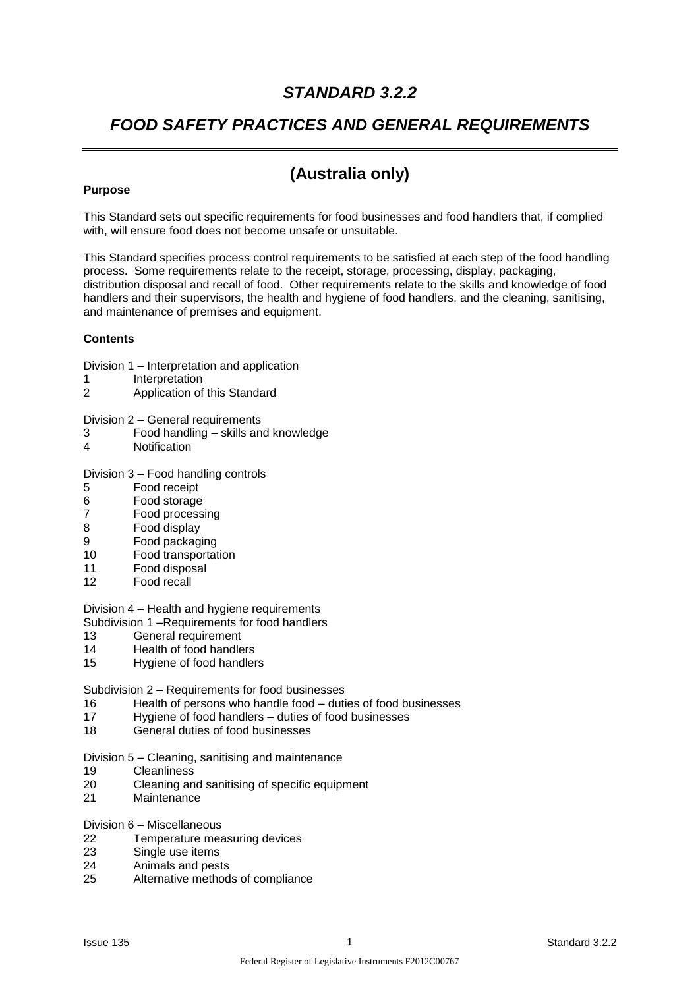## *STANDARD 3.2.2*

## *FOOD SAFETY PRACTICES AND GENERAL REQUIREMENTS*

## **(Australia only)**

### **Purpose**

This Standard sets out specific requirements for food businesses and food handlers that, if complied with, will ensure food does not become unsafe or unsuitable.

This Standard specifies process control requirements to be satisfied at each step of the food handling process. Some requirements relate to the receipt, storage, processing, display, packaging, distribution disposal and recall of food. Other requirements relate to the skills and knowledge of food handlers and their supervisors, the health and hygiene of food handlers, and the cleaning, sanitising, and maintenance of premises and equipment.

### **Contents**

Division 1 – Interpretation and application

- 1 Interpretation
- 2 Application of this Standard

Division 2 – General requirements

- 3 Food handling skills and knowledge
- 4 Notification

#### Division 3 – Food handling controls

- 5 Food receipt
- 6 Food storage
- 7 Food processing
- 8 Food display
- 9 Food packaging
- 10 Food transportation
- 11 Food disposal
- 12 Food recall

Division 4 – Health and hygiene requirements

Subdivision 1 –Requirements for food handlers

- 13 General requirement
- 14 Health of food handlers
- 15 Hygiene of food handlers

Subdivision 2 – Requirements for food businesses

- 16 Health of persons who handle food duties of food businesses<br>17 Hygiene of food handlers duties of food businesses
- Hygiene of food handlers duties of food businesses
- 18 General duties of food businesses

Division 5 – Cleaning, sanitising and maintenance

- 19 Cleanliness
- 20 Cleaning and sanitising of specific equipment
- 21 Maintenance

Division 6 – Miscellaneous

- 22 Temperature measuring devices
- 23 Single use items
- 24 Animals and pests
- 25 Alternative methods of compliance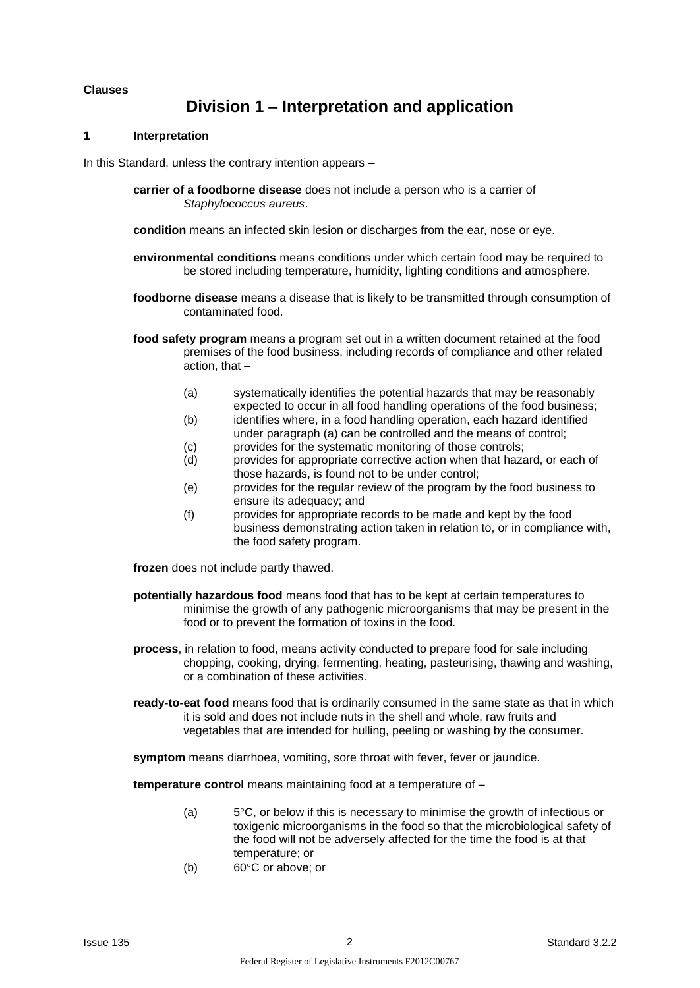#### **Clauses**

## **Division 1 – Interpretation and application**

#### **1 Interpretation**

In this Standard, unless the contrary intention appears –

- **carrier of a foodborne disease** does not include a person who is a carrier of *Staphylococcus aureus*.
- **condition** means an infected skin lesion or discharges from the ear, nose or eye.
- **environmental conditions** means conditions under which certain food may be required to be stored including temperature, humidity, lighting conditions and atmosphere.
- **foodborne disease** means a disease that is likely to be transmitted through consumption of contaminated food.
- **food safety program** means a program set out in a written document retained at the food premises of the food business, including records of compliance and other related action, that –
	- (a) systematically identifies the potential hazards that may be reasonably expected to occur in all food handling operations of the food business;
	- (b) identifies where, in a food handling operation, each hazard identified under paragraph (a) can be controlled and the means of control;
	- (c) provides for the systematic monitoring of those controls;
	- (d) provides for appropriate corrective action when that hazard, or each of those hazards, is found not to be under control;
	- (e) provides for the regular review of the program by the food business to ensure its adequacy; and
	- (f) provides for appropriate records to be made and kept by the food business demonstrating action taken in relation to, or in compliance with, the food safety program.

**frozen** does not include partly thawed.

- **potentially hazardous food** means food that has to be kept at certain temperatures to minimise the growth of any pathogenic microorganisms that may be present in the food or to prevent the formation of toxins in the food.
- **process**, in relation to food, means activity conducted to prepare food for sale including chopping, cooking, drying, fermenting, heating, pasteurising, thawing and washing, or a combination of these activities.
- **ready-to-eat food** means food that is ordinarily consumed in the same state as that in which it is sold and does not include nuts in the shell and whole, raw fruits and vegetables that are intended for hulling, peeling or washing by the consumer.

**symptom** means diarrhoea, vomiting, sore throat with fever, fever or jaundice.

**temperature control** means maintaining food at a temperature of –

- (a)  $5^{\circ}$ C, or below if this is necessary to minimise the growth of infectious or toxigenic microorganisms in the food so that the microbiological safety of the food will not be adversely affected for the time the food is at that temperature; or
- (b)  $60^{\circ}$ C or above; or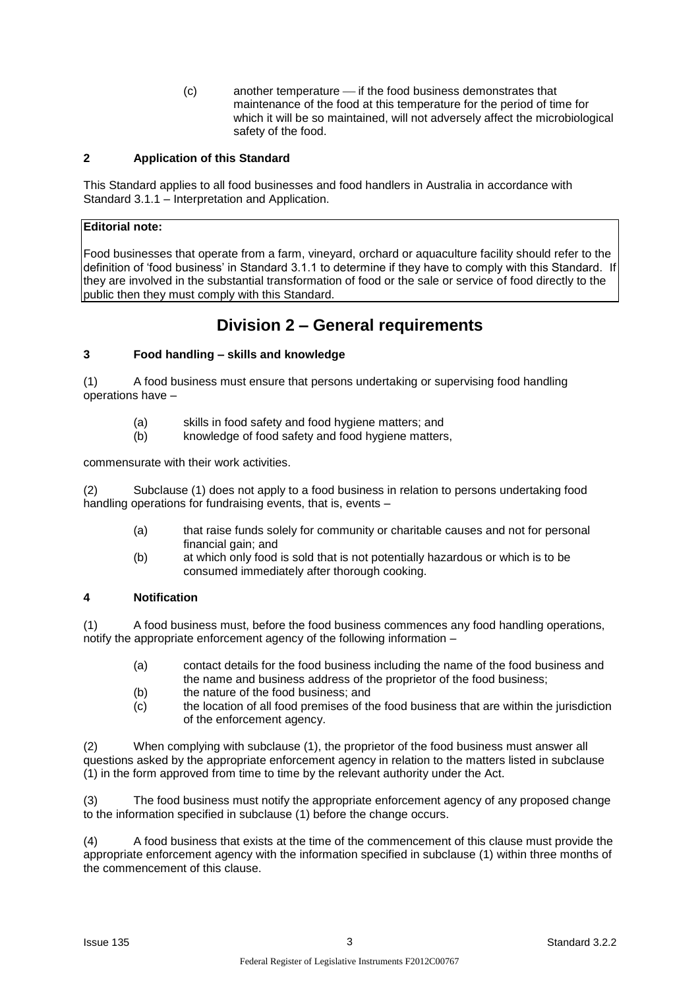(c) another temperature — if the food business demonstrates that maintenance of the food at this temperature for the period of time for which it will be so maintained, will not adversely affect the microbiological safety of the food.

### **2 Application of this Standard**

This Standard applies to all food businesses and food handlers in Australia in accordance with Standard 3.1.1 – Interpretation and Application.

### **Editorial note:**

Food businesses that operate from a farm, vineyard, orchard or aquaculture facility should refer to the definition of 'food business' in Standard 3.1.1 to determine if they have to comply with this Standard. If they are involved in the substantial transformation of food or the sale or service of food directly to the public then they must comply with this Standard.

### **Division 2 – General requirements**

### **3 Food handling – skills and knowledge**

(1) A food business must ensure that persons undertaking or supervising food handling operations have –

- (a) skills in food safety and food hygiene matters; and
- (b) knowledge of food safety and food hygiene matters,

commensurate with their work activities.

(2) Subclause (1) does not apply to a food business in relation to persons undertaking food handling operations for fundraising events, that is, events –

- (a) that raise funds solely for community or charitable causes and not for personal financial gain; and
- (b) at which only food is sold that is not potentially hazardous or which is to be consumed immediately after thorough cooking.

### **4 Notification**

(1) A food business must, before the food business commences any food handling operations, notify the appropriate enforcement agency of the following information –

- (a) contact details for the food business including the name of the food business and the name and business address of the proprietor of the food business;
- (b) the nature of the food business: and
- (c) the location of all food premises of the food business that are within the jurisdiction of the enforcement agency.

(2) When complying with subclause (1), the proprietor of the food business must answer all questions asked by the appropriate enforcement agency in relation to the matters listed in subclause (1) in the form approved from time to time by the relevant authority under the Act.

(3) The food business must notify the appropriate enforcement agency of any proposed change to the information specified in subclause (1) before the change occurs.

(4) A food business that exists at the time of the commencement of this clause must provide the appropriate enforcement agency with the information specified in subclause (1) within three months of the commencement of this clause.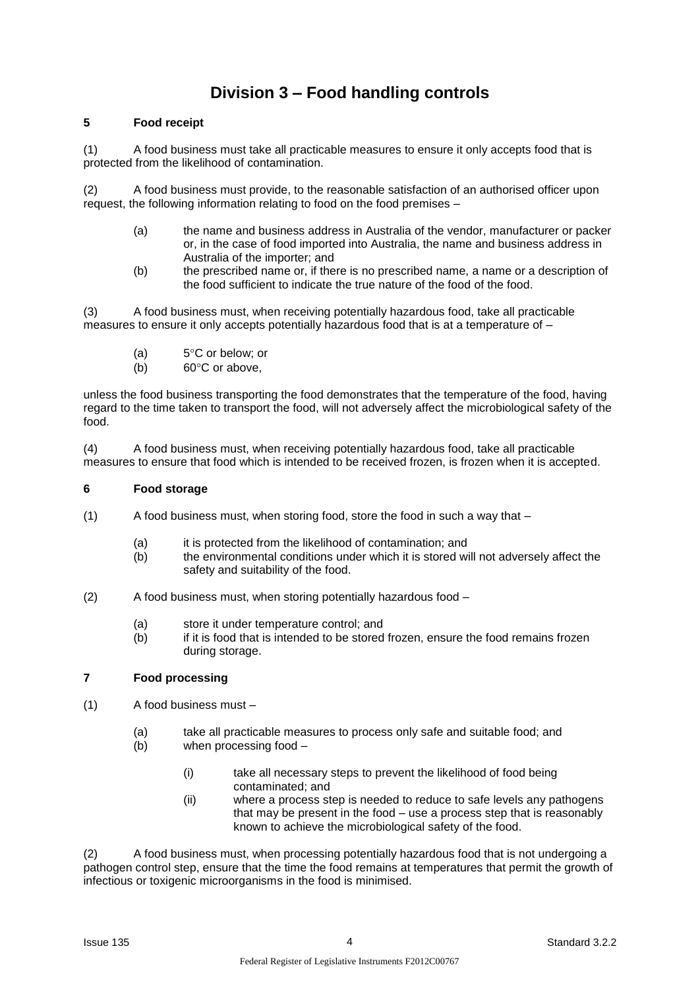# **Division 3 – Food handling controls**

### **5 Food receipt**

(1) A food business must take all practicable measures to ensure it only accepts food that is protected from the likelihood of contamination.

(2) A food business must provide, to the reasonable satisfaction of an authorised officer upon request, the following information relating to food on the food premises –

- (a) the name and business address in Australia of the vendor, manufacturer or packer or, in the case of food imported into Australia, the name and business address in Australia of the importer; and
- (b) the prescribed name or, if there is no prescribed name, a name or a description of the food sufficient to indicate the true nature of the food of the food.

(3) A food business must, when receiving potentially hazardous food, take all practicable measures to ensure it only accepts potentially hazardous food that is at a temperature of –

- (a)  $5^{\circ}$ C or below; or
- (b)  $60^{\circ}$ C or above,

unless the food business transporting the food demonstrates that the temperature of the food, having regard to the time taken to transport the food, will not adversely affect the microbiological safety of the food.

(4) A food business must, when receiving potentially hazardous food, take all practicable measures to ensure that food which is intended to be received frozen, is frozen when it is accepted.

### **6 Food storage**

- (1) A food business must, when storing food, store the food in such a way that
	- (a) it is protected from the likelihood of contamination; and
	- (b) the environmental conditions under which it is stored will not adversely affect the safety and suitability of the food.
- (2) A food business must, when storing potentially hazardous food
	- (a) store it under temperature control; and
	- (b) if it is food that is intended to be stored frozen, ensure the food remains frozen during storage.

### **7 Food processing**

- (1) A food business must
	- (a) take all practicable measures to process only safe and suitable food; and
	- (b) when processing food
		- (i) take all necessary steps to prevent the likelihood of food being contaminated; and
		- (ii) where a process step is needed to reduce to safe levels any pathogens that may be present in the food – use a process step that is reasonably known to achieve the microbiological safety of the food.

(2) A food business must, when processing potentially hazardous food that is not undergoing a pathogen control step, ensure that the time the food remains at temperatures that permit the growth of infectious or toxigenic microorganisms in the food is minimised.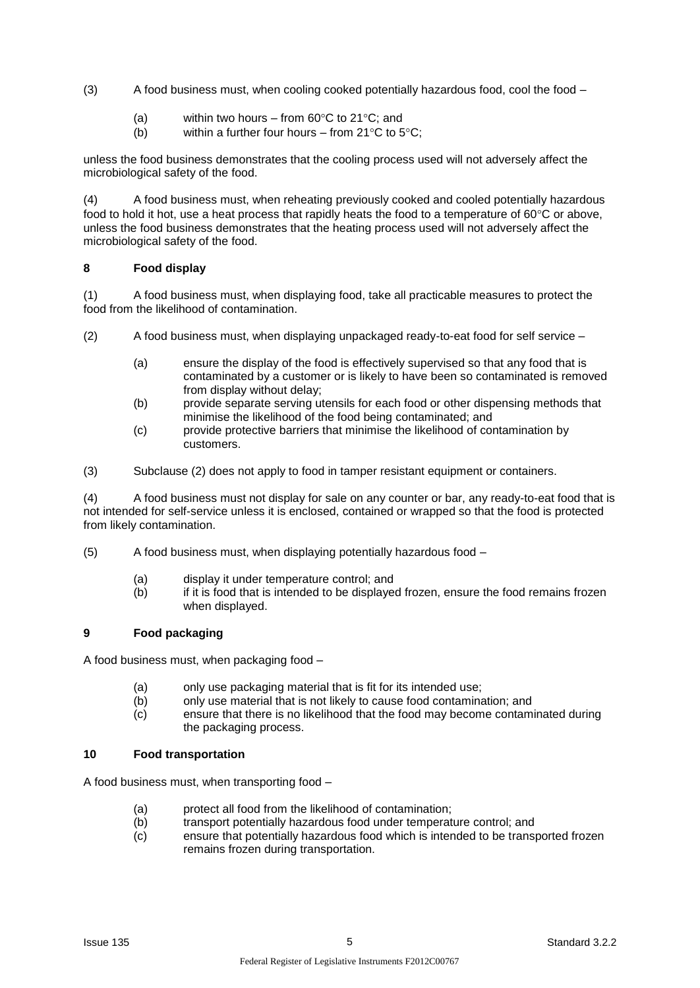(3) A food business must, when cooling cooked potentially hazardous food, cool the food –

- (a) within two hours from  $60^{\circ}$ C to 21 $^{\circ}$ C; and
- (b) within a further four hours from  $21^{\circ}$ C to  $5^{\circ}$ C;

unless the food business demonstrates that the cooling process used will not adversely affect the microbiological safety of the food.

(4) A food business must, when reheating previously cooked and cooled potentially hazardous food to hold it hot, use a heat process that rapidly heats the food to a temperature of  $60^{\circ}$ C or above, unless the food business demonstrates that the heating process used will not adversely affect the microbiological safety of the food.

### **8 Food display**

(1) A food business must, when displaying food, take all practicable measures to protect the food from the likelihood of contamination.

- (2) A food business must, when displaying unpackaged ready-to-eat food for self service
	- (a) ensure the display of the food is effectively supervised so that any food that is contaminated by a customer or is likely to have been so contaminated is removed from display without delay;
	- (b) provide separate serving utensils for each food or other dispensing methods that minimise the likelihood of the food being contaminated; and
	- (c) provide protective barriers that minimise the likelihood of contamination by customers.
- (3) Subclause (2) does not apply to food in tamper resistant equipment or containers.

(4) A food business must not display for sale on any counter or bar, any ready-to-eat food that is not intended for self-service unless it is enclosed, contained or wrapped so that the food is protected from likely contamination.

(5) A food business must, when displaying potentially hazardous food –

- (a) display it under temperature control; and
- (b) if it is food that is intended to be displayed frozen, ensure the food remains frozen when displayed.

### **9 Food packaging**

A food business must, when packaging food –

- (a) only use packaging material that is fit for its intended use;
- (b) only use material that is not likely to cause food contamination; and
- (c) ensure that there is no likelihood that the food may become contaminated during the packaging process.

#### **10 Food transportation**

A food business must, when transporting food –

- (a) protect all food from the likelihood of contamination;<br>(b) transport potentially hazardous food under temperation
- transport potentially hazardous food under temperature control; and
- (c) ensure that potentially hazardous food which is intended to be transported frozen remains frozen during transportation.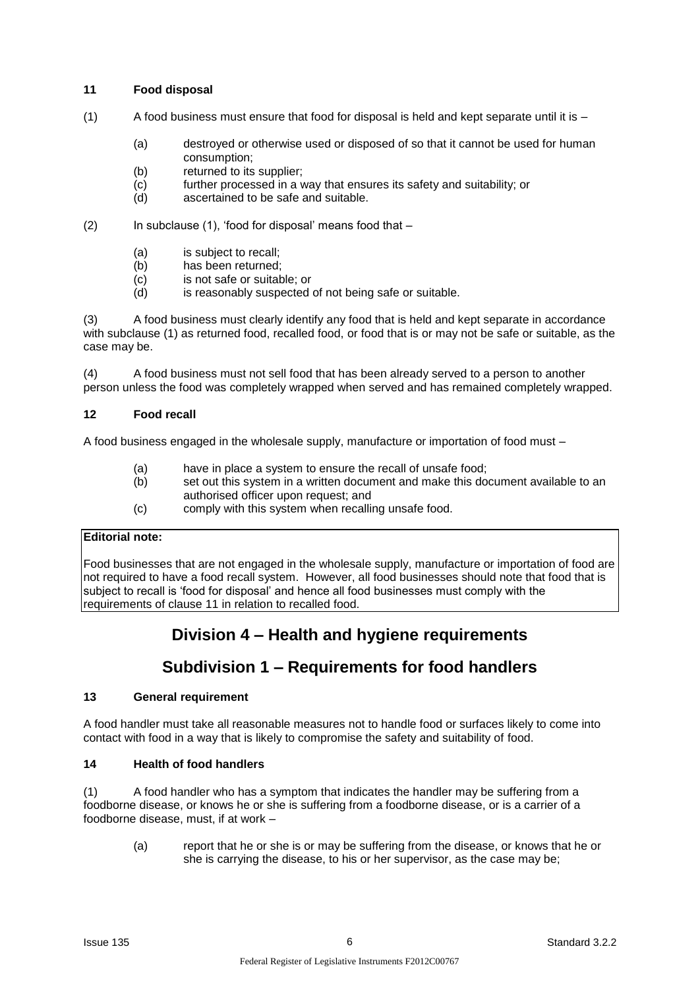### **11 Food disposal**

- $(1)$  A food business must ensure that food for disposal is held and kept separate until it is
	- (a) destroyed or otherwise used or disposed of so that it cannot be used for human consumption;
	- (b) returned to its supplier;
	- (c) further processed in a way that ensures its safety and suitability; or
	- (d) ascertained to be safe and suitable.
- (2) In subclause (1), 'food for disposal' means food that
	- (a) is subject to recall;
	- (b) has been returned;
	- (c) is not safe or suitable; or
	- (d) is reasonably suspected of not being safe or suitable.

(3) A food business must clearly identify any food that is held and kept separate in accordance with subclause (1) as returned food, recalled food, or food that is or may not be safe or suitable, as the case may be.

(4) A food business must not sell food that has been already served to a person to another person unless the food was completely wrapped when served and has remained completely wrapped.

### **12 Food recall**

A food business engaged in the wholesale supply, manufacture or importation of food must –

- 
- (a) have in place a system to ensure the recall of unsafe food;<br>(b) set out this system in a written document and make this do set out this system in a written document and make this document available to an authorised officer upon request; and
- (c) comply with this system when recalling unsafe food.

### **Editorial note:**

Food businesses that are not engaged in the wholesale supply, manufacture or importation of food are not required to have a food recall system. However, all food businesses should note that food that is subject to recall is 'food for disposal' and hence all food businesses must comply with the requirements of clause 11 in relation to recalled food.

## **Division 4 – Health and hygiene requirements**

# **Subdivision 1 – Requirements for food handlers**

### **13 General requirement**

A food handler must take all reasonable measures not to handle food or surfaces likely to come into contact with food in a way that is likely to compromise the safety and suitability of food.

### **14 Health of food handlers**

(1) A food handler who has a symptom that indicates the handler may be suffering from a foodborne disease, or knows he or she is suffering from a foodborne disease, or is a carrier of a foodborne disease, must, if at work –

(a) report that he or she is or may be suffering from the disease, or knows that he or she is carrying the disease, to his or her supervisor, as the case may be;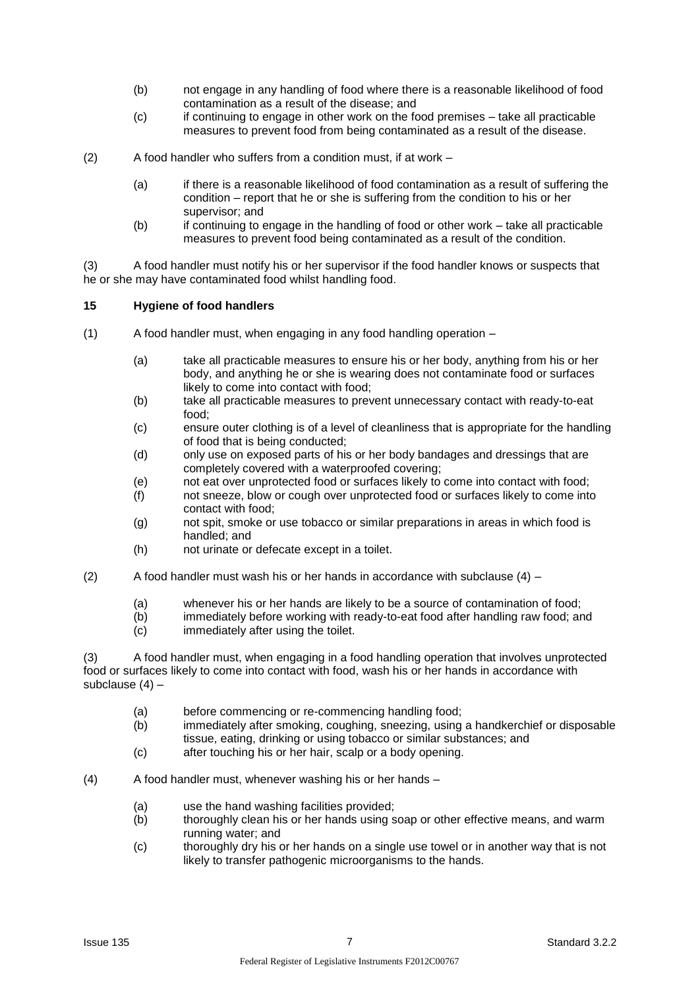- (b) not engage in any handling of food where there is a reasonable likelihood of food contamination as a result of the disease; and
- (c) if continuing to engage in other work on the food premises take all practicable measures to prevent food from being contaminated as a result of the disease.
- (2) A food handler who suffers from a condition must, if at work
	- (a) if there is a reasonable likelihood of food contamination as a result of suffering the condition – report that he or she is suffering from the condition to his or her supervisor; and
	- (b) if continuing to engage in the handling of food or other work take all practicable measures to prevent food being contaminated as a result of the condition.

(3) A food handler must notify his or her supervisor if the food handler knows or suspects that he or she may have contaminated food whilst handling food.

#### **15 Hygiene of food handlers**

- (1) A food handler must, when engaging in any food handling operation
	- (a) take all practicable measures to ensure his or her body, anything from his or her body, and anything he or she is wearing does not contaminate food or surfaces likely to come into contact with food;
	- (b) take all practicable measures to prevent unnecessary contact with ready-to-eat food;
	- (c) ensure outer clothing is of a level of cleanliness that is appropriate for the handling of food that is being conducted;
	- (d) only use on exposed parts of his or her body bandages and dressings that are completely covered with a waterproofed covering;
	- (e) not eat over unprotected food or surfaces likely to come into contact with food;
	- (f) not sneeze, blow or cough over unprotected food or surfaces likely to come into contact with food;
	- (g) not spit, smoke or use tobacco or similar preparations in areas in which food is handled; and
	- (h) not urinate or defecate except in a toilet.
- (2) A food handler must wash his or her hands in accordance with subclause  $(4)$ 
	- (a) whenever his or her hands are likely to be a source of contamination of food;<br>(b) immediately before working with ready-to-eat food after handling raw food: an
	- immediately before working with ready-to-eat food after handling raw food; and
	- (c) immediately after using the toilet.

(3) A food handler must, when engaging in a food handling operation that involves unprotected food or surfaces likely to come into contact with food, wash his or her hands in accordance with subclause (4) –

- (a) before commencing or re-commencing handling food;
- (b) immediately after smoking, coughing, sneezing, using a handkerchief or disposable tissue, eating, drinking or using tobacco or similar substances; and
- (c) after touching his or her hair, scalp or a body opening.

(4) A food handler must, whenever washing his or her hands –

- (a) use the hand washing facilities provided;
- (b) thoroughly clean his or her hands using soap or other effective means, and warm running water; and
- (c) thoroughly dry his or her hands on a single use towel or in another way that is not likely to transfer pathogenic microorganisms to the hands.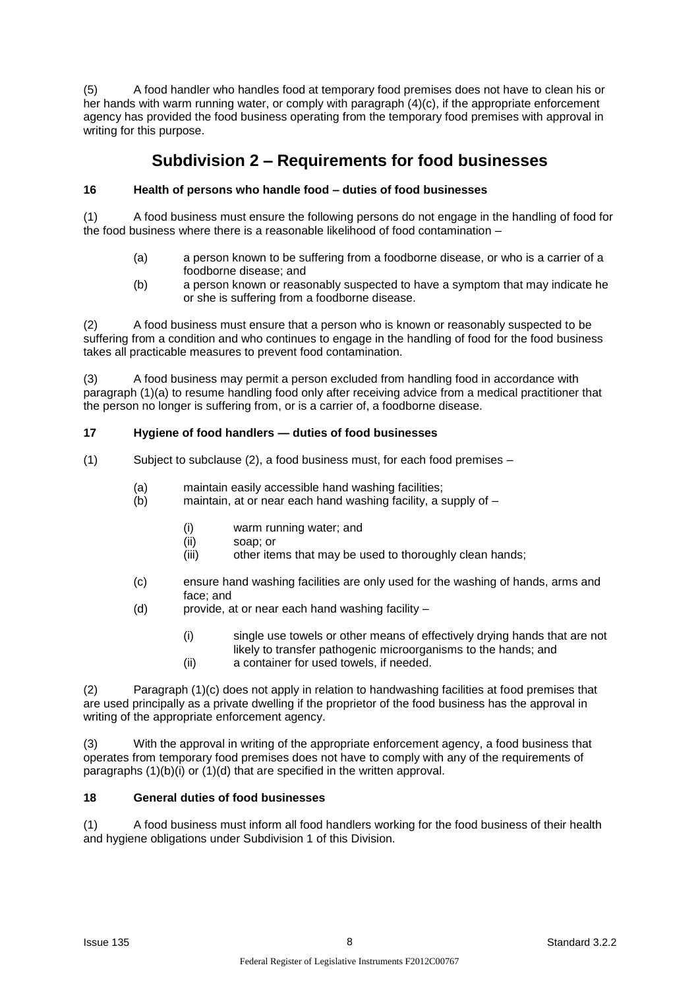(5) A food handler who handles food at temporary food premises does not have to clean his or her hands with warm running water, or comply with paragraph (4)(c), if the appropriate enforcement agency has provided the food business operating from the temporary food premises with approval in writing for this purpose.

## **Subdivision 2 – Requirements for food businesses**

### **16 Health of persons who handle food – duties of food businesses**

(1) A food business must ensure the following persons do not engage in the handling of food for the food business where there is a reasonable likelihood of food contamination –

- (a) a person known to be suffering from a foodborne disease, or who is a carrier of a foodborne disease; and
- (b) a person known or reasonably suspected to have a symptom that may indicate he or she is suffering from a foodborne disease.

(2) A food business must ensure that a person who is known or reasonably suspected to be suffering from a condition and who continues to engage in the handling of food for the food business takes all practicable measures to prevent food contamination.

(3) A food business may permit a person excluded from handling food in accordance with paragraph (1)(a) to resume handling food only after receiving advice from a medical practitioner that the person no longer is suffering from, or is a carrier of, a foodborne disease.

### **17 Hygiene of food handlers — duties of food businesses**

- (1) Subject to subclause (2), a food business must, for each food premises
	- (a) maintain easily accessible hand washing facilities;
	- (b) maintain, at or near each hand washing facility, a supply of
		- (i) warm running water; and
		- (ii) soap; or
		- (iii) other items that may be used to thoroughly clean hands;
	- (c) ensure hand washing facilities are only used for the washing of hands, arms and face; and
	- (d) provide, at or near each hand washing facility
		- (i) single use towels or other means of effectively drying hands that are not likely to transfer pathogenic microorganisms to the hands; and
		- (ii) a container for used towels, if needed.

(2) Paragraph (1)(c) does not apply in relation to handwashing facilities at food premises that are used principally as a private dwelling if the proprietor of the food business has the approval in writing of the appropriate enforcement agency.

(3) With the approval in writing of the appropriate enforcement agency, a food business that operates from temporary food premises does not have to comply with any of the requirements of paragraphs (1)(b)(i) or (1)(d) that are specified in the written approval.

### **18 General duties of food businesses**

(1) A food business must inform all food handlers working for the food business of their health and hygiene obligations under Subdivision 1 of this Division.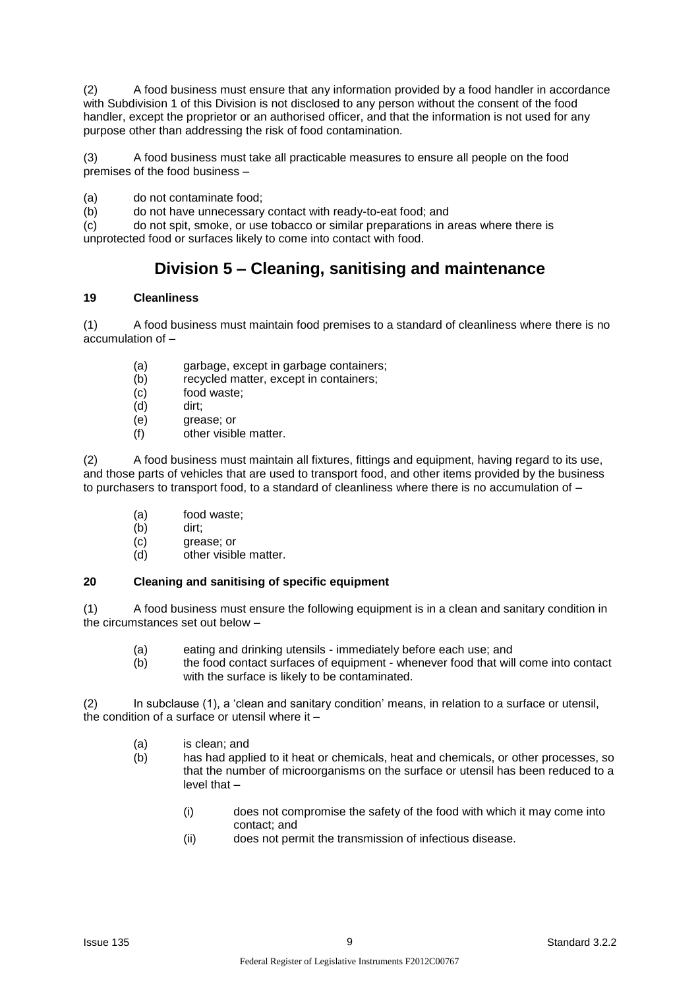(2) A food business must ensure that any information provided by a food handler in accordance with Subdivision 1 of this Division is not disclosed to any person without the consent of the food handler, except the proprietor or an authorised officer, and that the information is not used for any purpose other than addressing the risk of food contamination.

(3) A food business must take all practicable measures to ensure all people on the food premises of the food business –

(a) do not contaminate food;

(b) do not have unnecessary contact with ready-to-eat food; and

(c) do not spit, smoke, or use tobacco or similar preparations in areas where there is unprotected food or surfaces likely to come into contact with food.

## **Division 5 – Cleaning, sanitising and maintenance**

### **19 Cleanliness**

(1) A food business must maintain food premises to a standard of cleanliness where there is no accumulation of –

- (a) garbage, except in garbage containers;
- (b) recycled matter, except in containers;
- (c) food waste;
- (d) dirt;
- (e) grease; or
- (f) other visible matter.

(2) A food business must maintain all fixtures, fittings and equipment, having regard to its use, and those parts of vehicles that are used to transport food, and other items provided by the business to purchasers to transport food, to a standard of cleanliness where there is no accumulation of –

- (a) food waste;
- (b) dirt;
- (c) grease; or
- (d) other visible matter.

### **20 Cleaning and sanitising of specific equipment**

(1) A food business must ensure the following equipment is in a clean and sanitary condition in the circumstances set out below –

- (a) eating and drinking utensils immediately before each use; and
- (b) the food contact surfaces of equipment whenever food that will come into contact with the surface is likely to be contaminated.

(2) In subclause (1), a 'clean and sanitary condition' means, in relation to a surface or utensil, the condition of a surface or utensil where it –

- (a) is clean; and
- (b) has had applied to it heat or chemicals, heat and chemicals, or other processes, so that the number of microorganisms on the surface or utensil has been reduced to a level that –
	- (i) does not compromise the safety of the food with which it may come into contact; and
	- (ii) does not permit the transmission of infectious disease.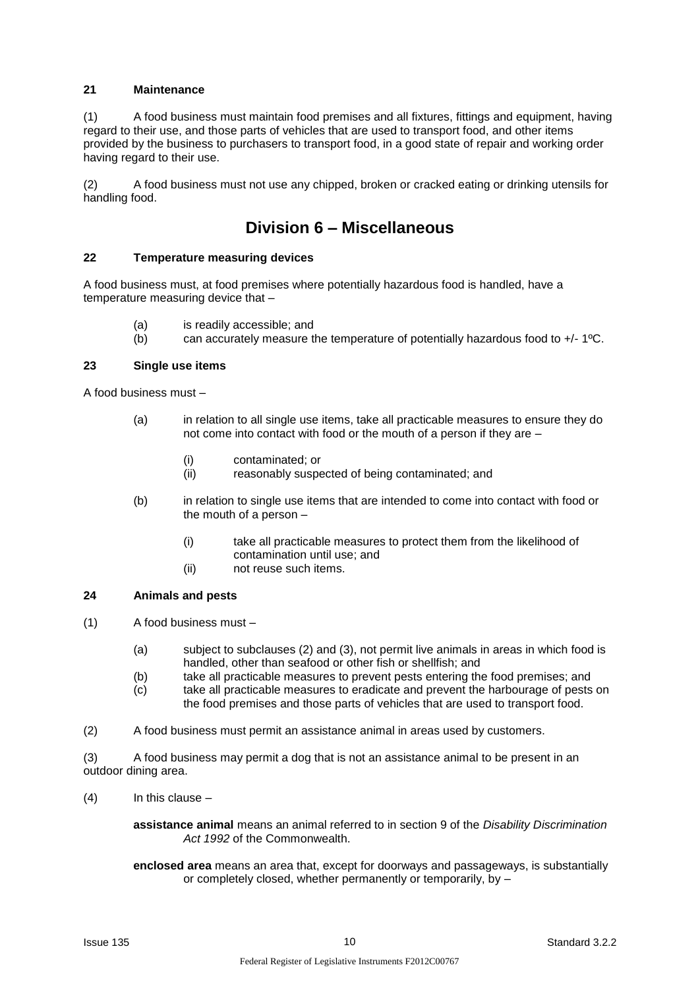### **21 Maintenance**

(1) A food business must maintain food premises and all fixtures, fittings and equipment, having regard to their use, and those parts of vehicles that are used to transport food, and other items provided by the business to purchasers to transport food, in a good state of repair and working order having regard to their use.

(2) A food business must not use any chipped, broken or cracked eating or drinking utensils for handling food.

### **Division 6 – Miscellaneous**

### **22 Temperature measuring devices**

A food business must, at food premises where potentially hazardous food is handled, have a temperature measuring device that –

- (a) is readily accessible; and
- (b) can accurately measure the temperature of potentially hazardous food to +/- 1ºC.

### **23 Single use items**

A food business must –

- (a) in relation to all single use items, take all practicable measures to ensure they do not come into contact with food or the mouth of a person if they are –
	- (i) contaminated; or
	- (ii) reasonably suspected of being contaminated; and
- (b) in relation to single use items that are intended to come into contact with food or the mouth of a person –
	- (i) take all practicable measures to protect them from the likelihood of contamination until use; and
	- (ii) not reuse such items.

#### **24 Animals and pests**

- (1) A food business must
	- (a) subject to subclauses (2) and (3), not permit live animals in areas in which food is handled, other than seafood or other fish or shellfish; and
	- (b) take all practicable measures to prevent pests entering the food premises; and
	- (c) take all practicable measures to eradicate and prevent the harbourage of pests on the food premises and those parts of vehicles that are used to transport food.
- (2) A food business must permit an assistance animal in areas used by customers.

(3) A food business may permit a dog that is not an assistance animal to be present in an outdoor dining area.

(4) In this clause –

**assistance animal** means an animal referred to in section 9 of the *Disability Discrimination Act 1992* of the Commonwealth.

**enclosed area** means an area that, except for doorways and passageways, is substantially or completely closed, whether permanently or temporarily, by –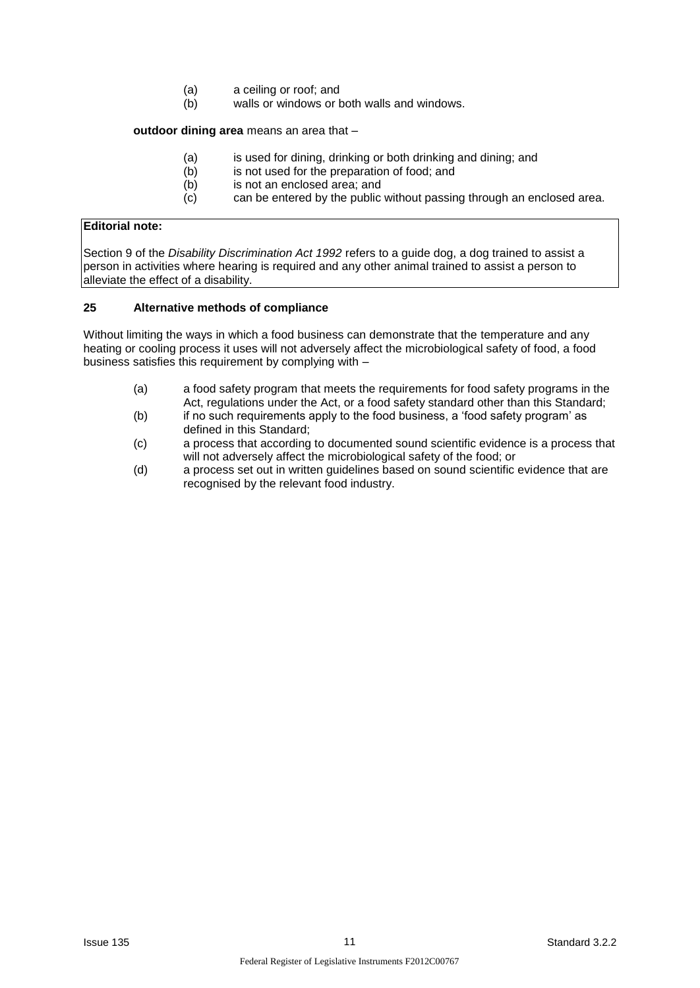- (a) a ceiling or roof; and
- (b) walls or windows or both walls and windows.

#### **outdoor dining area** means an area that –

- (a) is used for dining, drinking or both drinking and dining; and
- (b) is not used for the preparation of food; and
- (b) is not an enclosed area; and
- $(c)$  can be entered by the public without passing through an enclosed area.

### **Editorial note:**

Section 9 of the *Disability Discrimination Act 1992* refers to a guide dog, a dog trained to assist a person in activities where hearing is required and any other animal trained to assist a person to alleviate the effect of a disability.

### **25 Alternative methods of compliance**

Without limiting the ways in which a food business can demonstrate that the temperature and any heating or cooling process it uses will not adversely affect the microbiological safety of food, a food business satisfies this requirement by complying with –

- (a) a food safety program that meets the requirements for food safety programs in the Act, regulations under the Act, or a food safety standard other than this Standard;
- (b) if no such requirements apply to the food business, a 'food safety program' as defined in this Standard;
- (c) a process that according to documented sound scientific evidence is a process that will not adversely affect the microbiological safety of the food; or
- (d) a process set out in written guidelines based on sound scientific evidence that are recognised by the relevant food industry.